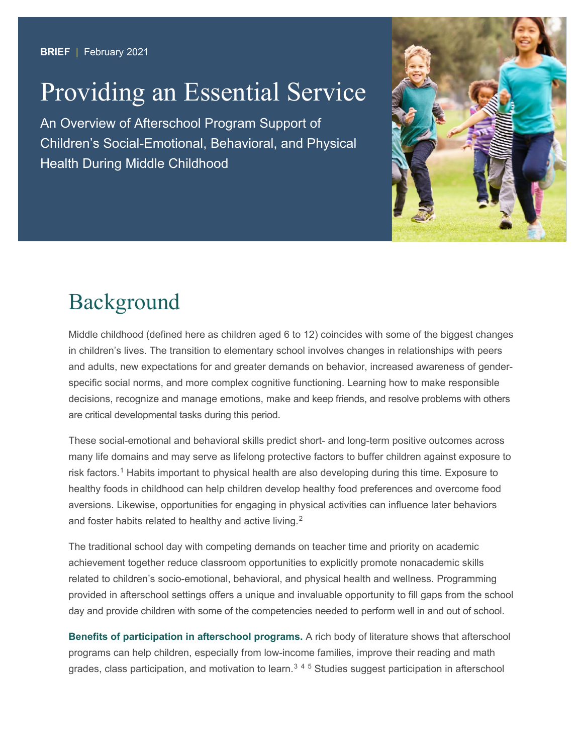**BRIEF** | February 2021

# Providing an Essential Service

An Overview of Afterschool Program Support of Children's Social-Emotional, Behavioral, and Physical Health During Middle Childhood



## Background

Middle childhood (defined here as children aged 6 to 12) coincides with some of the biggest changes in children's lives. The transition to elementary school involves changes in relationships with peers and adults, new expectations for and greater demands on behavior, increased awareness of genderspecific social norms, and more complex cognitive functioning. Learning how to make responsible decisions, recognize and manage emotions, make and keep friends, and resolve problems with others are critical developmental tasks during this period.

These social-emotional and behavioral skills predict short- and long-term positive outcomes across many life domains and may serve as lifelong protective factors to buffer children against exposure to risk factors. [1](#page-8-0) Habits important to physical health are also developing during this time. Exposure to healthy foods in childhood can help children develop healthy food preferences and overcome food aversions. Likewise, opportunities for engaging in physical activities can influence later behaviors and foster habits related to healthy and active living.<sup>[2](#page-8-1)</sup>

The traditional school day with competing demands on teacher time and priority on academic achievement together reduce classroom opportunities to explicitly promote nonacademic skills related to children's socio-emotional, behavioral, and physical health and wellness. Programming provided in afterschool settings offers a unique and invaluable opportunity to fill gaps from the school day and provide children with some of the competencies needed to perform well in and out of school.

**Benefits of participation in afterschool programs.** A rich body of literature shows that afterschool programs can help children, especially from low-income families, improve their reading and math grades, class participation, and motivation to learn. [3](#page-8-2) [4](#page-8-3) [5](#page-8-4) Studies suggest participation in afterschool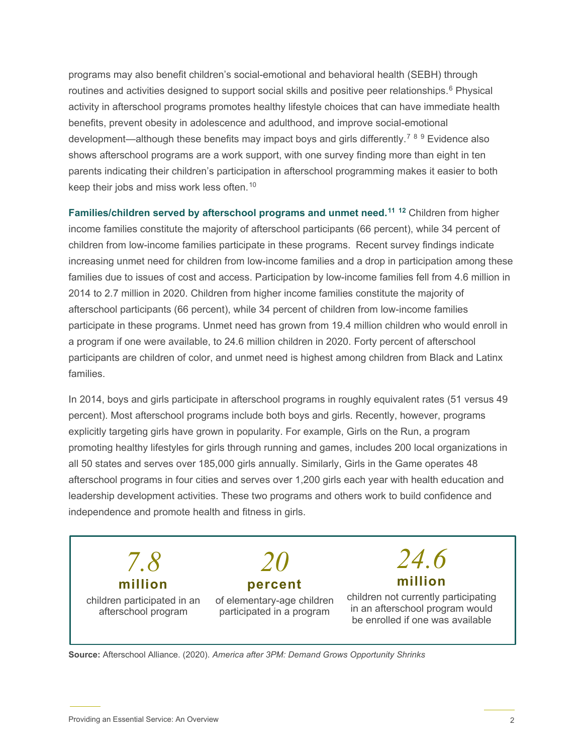programs may also benefit children's social-emotional and behavioral health (SEBH) through routines and activities designed to support social skills and positive peer relationships. [6](#page-8-5) Physical activity in afterschool programs promotes healthy lifestyle choices that can have immediate health benefits, prevent obesity in adolescence and adulthood, and improve social-emotional development—although these benefits may impact boys and girls differently.<sup>[7](#page-8-6)[8](#page-8-7)[9](#page-8-8)</sup> Evidence also shows afterschool programs are a work support, with one survey finding more than eight in ten parents indicating their children's participation in afterschool programming makes it easier to both keep their jobs and miss work less often.<sup>[10](#page-8-9)</sup>

**Families/children served by afterschool programs and unmet need. [11](#page-8-10) [12](#page-8-11)** Children from higher income families constitute the majority of afterschool participants (66 percent), while 34 percent of children from low-income families participate in these programs. Recent survey findings indicate increasing unmet need for children from low-income families and a drop in participation among these families due to issues of cost and access. Participation by low-income families fell from 4.6 million in 2014 to 2.7 million in 2020. Children from higher income families constitute the majority of afterschool participants (66 percent), while 34 percent of children from low-income families participate in these programs. Unmet need has grown from 19.4 million children who would enroll in a program if one were available, to 24.6 million children in 2020. Forty percent of afterschool participants are children of color, and unmet need is highest among children from Black and Latinx families.

In 2014, boys and girls participate in afterschool programs in roughly equivalent rates (51 versus 49 percent). Most afterschool programs include both boys and girls. Recently, however, programs explicitly targeting girls have grown in popularity. For example, Girls on the Run, a program promoting healthy lifestyles for girls through running and games, includes 200 local organizations in all 50 states and serves over 185,000 girls annually. Similarly, Girls in the Game operates 48 afterschool programs in four cities and serves over 1,200 girls each year with health education and leadership development activities. These two programs and others work to build confidence and independence and promote health and fitness in girls.

*7.8*  **million** children participated in an afterschool program *20*  **percent** of elementary-age children participated in a program *24.6*  **million** children not currently participating in an afterschool program would be enrolled if one was available

**Source:** Afterschool Alliance. (2020). *America after 3PM: Demand Grows Opportunity Shrinks*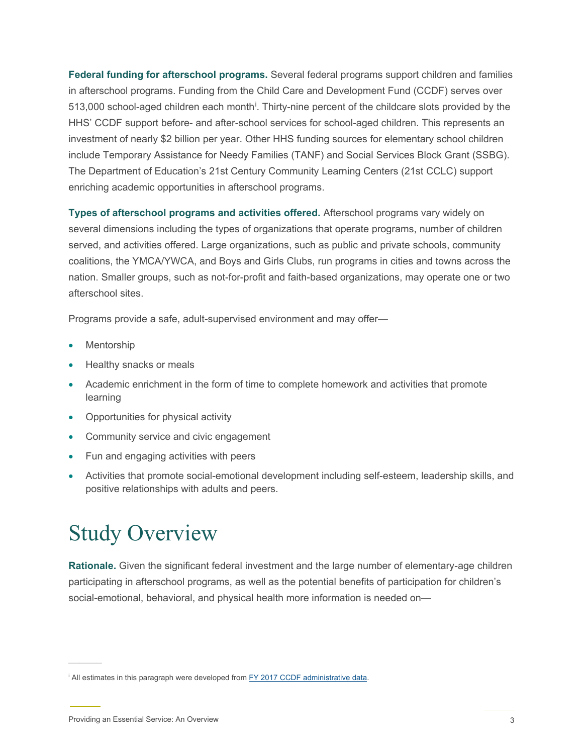**Federal funding for afterschool programs.** Several federal programs support children and families in afterschool programs. Funding from the Child Care and Development Fund (CCDF) serves over 513,000 school-aged ch[i](#page-2-0)ldren each month<sup>i</sup>. Thirty-nine percent of the childcare slots provided by the HHS' CCDF support before- and after-school services for school-aged children. This represents an investment of nearly \$2 billion per year. Other HHS funding sources for elementary school children include Temporary Assistance for Needy Families (TANF) and Social Services Block Grant (SSBG). The Department of Education's 21st Century Community Learning Centers (21st CCLC) support enriching academic opportunities in afterschool programs.

**Types of afterschool programs and activities offered.** Afterschool programs vary widely on several dimensions including the types of organizations that operate programs, number of children served, and activities offered. Large organizations, such as public and private schools, community coalitions, the YMCA/YWCA, and Boys and Girls Clubs, run programs in cities and towns across the nation. Smaller groups, such as not-for-profit and faith-based organizations, may operate one or two afterschool sites.

Programs provide a safe, adult-supervised environment and may offer—

- **Mentorship**
- Healthy snacks or meals
- Academic enrichment in the form of time to complete homework and activities that promote learning
- Opportunities for physical activity
- Community service and civic engagement
- Fun and engaging activities with peers
- Activities that promote social-emotional development including self-esteem, leadership skills, and positive relationships with adults and peers.

## Study Overview

**Rationale.** Given the significant federal investment and the large number of elementary-age children participating in afterschool programs, as well as the potential benefits of participation for children's social-emotional, behavioral, and physical health more information is needed on—

<span id="page-2-0"></span><sup>&</sup>lt;sup>i</sup> All estimates in this paragraph were developed from FY 2017 CCDF administrative data.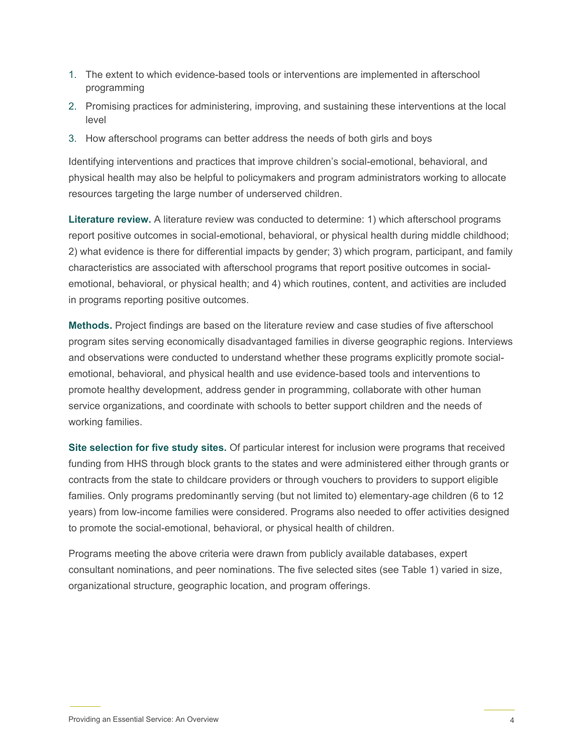- 1. The extent to which evidence-based tools or interventions are implemented in afterschool programming
- 2. Promising practices for administering, improving, and sustaining these interventions at the local level
- 3. How afterschool programs can better address the needs of both girls and boys

Identifying interventions and practices that improve children's social-emotional, behavioral, and physical health may also be helpful to policymakers and program administrators working to allocate resources targeting the large number of underserved children.

**Literature review.** A literature review was conducted to determine: 1) which afterschool programs report positive outcomes in social-emotional, behavioral, or physical health during middle childhood; 2) what evidence is there for differential impacts by gender; 3) which program, participant, and family characteristics are associated with afterschool programs that report positive outcomes in socialemotional, behavioral, or physical health; and 4) which routines, content, and activities are included in programs reporting positive outcomes.

**Methods.** Project findings are based on the literature review and case studies of five afterschool program sites serving economically disadvantaged families in diverse geographic regions. Interviews and observations were conducted to understand whether these programs explicitly promote socialemotional, behavioral, and physical health and use evidence-based tools and interventions to promote healthy development, address gender in programming, collaborate with other human service organizations, and coordinate with schools to better support children and the needs of working families.

**Site selection for five study sites.** Of particular interest for inclusion were programs that received funding from HHS through block grants to the states and were administered either through grants or contracts from the state to childcare providers or through vouchers to providers to support eligible families. Only programs predominantly serving (but not limited to) elementary-age children (6 to 12 years) from low-income families were considered. Programs also needed to offer activities designed to promote the social-emotional, behavioral, or physical health of children.

Programs meeting the above criteria were drawn from publicly available databases, expert consultant nominations, and peer nominations. The five selected sites (see Table 1) varied in size, organizational structure, geographic location, and program offerings.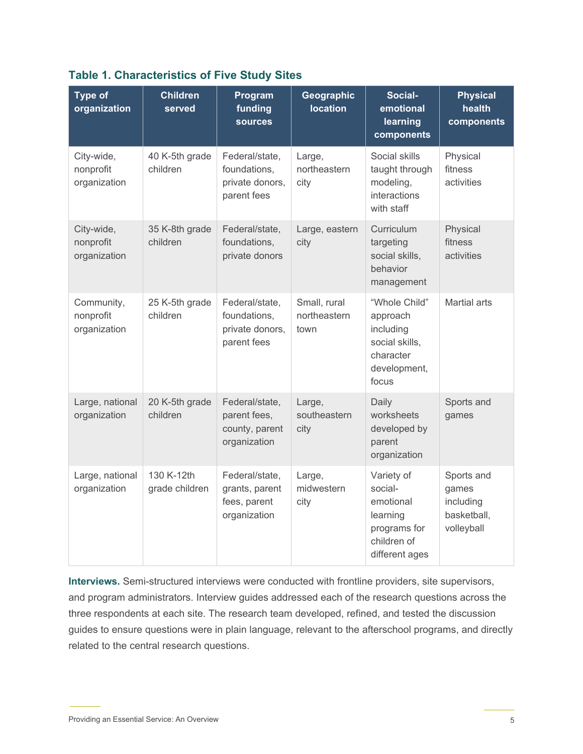| <b>Type of</b><br>organization          | <b>Children</b><br>served    | Program<br>funding<br><b>sources</b>                             | Geographic<br><b>location</b>        | Social-<br>emotional<br>learning<br>components                                                  | <b>Physical</b><br>health<br>components                       |
|-----------------------------------------|------------------------------|------------------------------------------------------------------|--------------------------------------|-------------------------------------------------------------------------------------------------|---------------------------------------------------------------|
| City-wide,<br>nonprofit<br>organization | 40 K-5th grade<br>children   | Federal/state,<br>foundations,<br>private donors,<br>parent fees | Large,<br>northeastern<br>city       | Social skills<br>taught through<br>modeling,<br>interactions<br>with staff                      | Physical<br>fitness<br>activities                             |
| City-wide,<br>nonprofit<br>organization | 35 K-8th grade<br>children   | Federal/state,<br>foundations,<br>private donors                 | Large, eastern<br>city               | Curriculum<br>targeting<br>social skills,<br>behavior<br>management                             | Physical<br>fitness<br>activities                             |
| Community,<br>nonprofit<br>organization | 25 K-5th grade<br>children   | Federal/state,<br>foundations,<br>private donors,<br>parent fees | Small, rural<br>northeastern<br>town | "Whole Child"<br>approach<br>including<br>social skills,<br>character<br>development,<br>focus  | <b>Martial arts</b>                                           |
| Large, national<br>organization         | 20 K-5th grade<br>children   | Federal/state,<br>parent fees,<br>county, parent<br>organization | Large,<br>southeastern<br>city       | Daily<br>worksheets<br>developed by<br>parent<br>organization                                   | Sports and<br>games                                           |
| Large, national<br>organization         | 130 K-12th<br>grade children | Federal/state,<br>grants, parent<br>fees, parent<br>organization | Large,<br>midwestern<br>city         | Variety of<br>social-<br>emotional<br>learning<br>programs for<br>children of<br>different ages | Sports and<br>games<br>including<br>basketball,<br>volleyball |

### **Table 1. Characteristics of Five Study Sites**

**Interviews.** Semi-structured interviews were conducted with frontline providers, site supervisors, and program administrators. Interview guides addressed each of the research questions across the three respondents at each site. The research team developed, refined, and tested the discussion guides to ensure questions were in plain language, relevant to the afterschool programs, and directly related to the central research questions.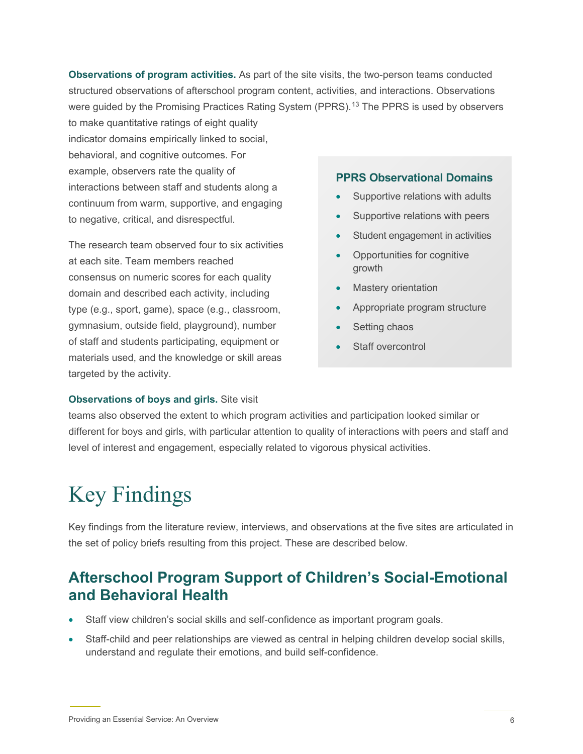**Observations of program activities.** As part of the site visits, the two-person teams conducted structured observations of afterschool program content, activities, and interactions. Observations were guided by the Promising Practices Rating System (PPRS).<sup>[13](#page-8-12)</sup> The PPRS is used by observers

to make quantitative ratings of eight quality indicator domains empirically linked to social, behavioral, and cognitive outcomes. For example, observers rate the quality of interactions between staff and students along a continuum from warm, supportive, and engaging to negative, critical, and disrespectful.

The research team observed four to six activities at each site. Team members reached consensus on numeric scores for each quality domain and described each activity, including type (e.g., sport, game), space (e.g., classroom, gymnasium, outside field, playground), number of staff and students participating, equipment or materials used, and the knowledge or skill areas targeted by the activity.

### **PPRS Observational Domains**

- Supportive relations with adults
- Supportive relations with peers
- Student engagement in activities
- Opportunities for cognitive growth
- Mastery orientation
- Appropriate program structure
- Setting chaos
- Staff overcontrol

### **Observations of boys and girls.** Site visit

teams also observed the extent to which program activities and participation looked similar or different for boys and girls, with particular attention to quality of interactions with peers and staff and level of interest and engagement, especially related to vigorous physical activities.

# Key Findings

Key findings from the literature review, interviews, and observations at the five sites are articulated in the set of policy briefs resulting from this project. These are described below.

### **Afterschool Program Support of Children's Social-Emotional and Behavioral Health**

- Staff view children's social skills and self-confidence as important program goals.
- Staff-child and peer relationships are viewed as central in helping children develop social skills, understand and regulate their emotions, and build self-confidence.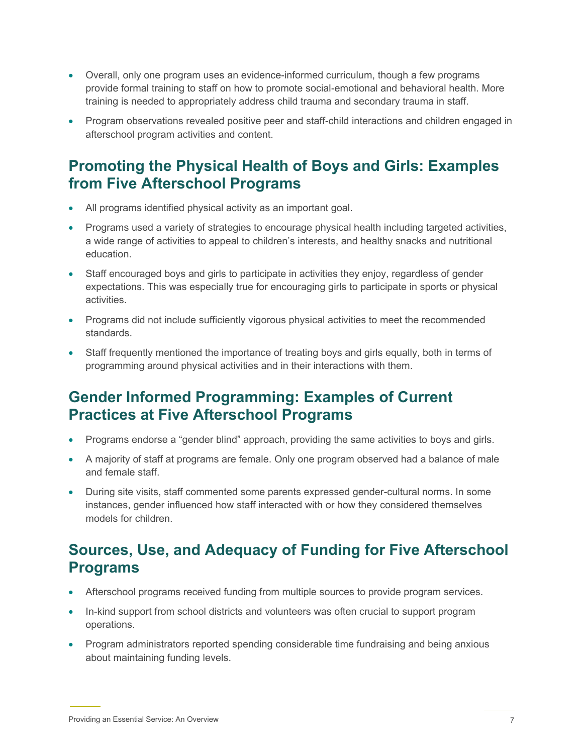- Overall, only one program uses an evidence-informed curriculum, though a few programs provide formal training to staff on how to promote social-emotional and behavioral health. More training is needed to appropriately address child trauma and secondary trauma in staff.
- Program observations revealed positive peer and staff-child interactions and children engaged in afterschool program activities and content.

## **Promoting the Physical Health of Boys and Girls: Examples from Five Afterschool Programs**

- All programs identified physical activity as an important goal.
- Programs used a variety of strategies to encourage physical health including targeted activities, a wide range of activities to appeal to children's interests, and healthy snacks and nutritional education.
- Staff encouraged boys and girls to participate in activities they enjoy, regardless of gender expectations. This was especially true for encouraging girls to participate in sports or physical activities.
- Programs did not include sufficiently vigorous physical activities to meet the recommended standards.
- Staff frequently mentioned the importance of treating boys and girls equally, both in terms of programming around physical activities and in their interactions with them.

### **Gender Informed Programming: Examples of Current Practices at Five Afterschool Programs**

- Programs endorse a "gender blind" approach, providing the same activities to boys and girls.
- A majority of staff at programs are female. Only one program observed had a balance of male and female staff.
- During site visits, staff commented some parents expressed gender-cultural norms. In some instances, gender influenced how staff interacted with or how they considered themselves models for children.

## **Sources, Use, and Adequacy of Funding for Five Afterschool Programs**

- Afterschool programs received funding from multiple sources to provide program services.
- In-kind support from school districts and volunteers was often crucial to support program operations.
- Program administrators reported spending considerable time fundraising and being anxious about maintaining funding levels.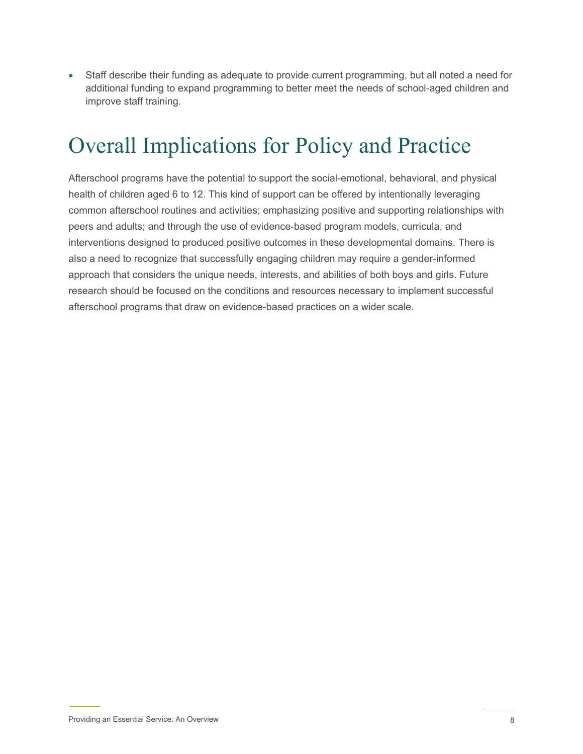• Staff describe their funding as adequate to provide current programming, but all noted a need for additional funding to expand programming to better meet the needs of school-aged children and improve staff training.

## Overall Implications for Policy and Practice

Afterschool programs have the potential to support the social-emotional, behavioral, and physical health of children aged 6 to 12. This kind of support can be offered by intentionally leveraging common afterschool routines and activities; emphasizing positive and supporting relationships with peers and adults; and through the use of evidence-based program models, curricula, and interventions designed to produced positive outcomes in these developmental domains. There is also a need to recognize that successfully engaging children may require a gender-informed approach that considers the unique needs, interests, and abilities of both boys and girls. Future research should be focused on the conditions and resources necessary to implement successful afterschool programs that draw on evidence-based practices on a wider scale.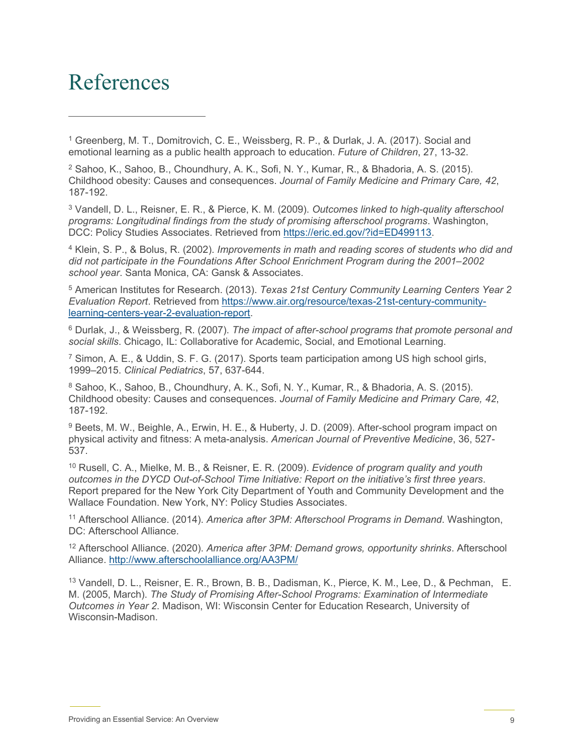## References

<span id="page-8-0"></span><sup>1</sup> Greenberg, M. T., Domitrovich, C. E., Weissberg, R. P., & Durlak, J. A. (2017). Social and emotional learning as a public health approach to education. *Future of Children*, 27, 13-32.

<span id="page-8-1"></span><sup>2</sup> Sahoo, K., Sahoo, B., Choundhury, A. K., Sofi, N. Y., Kumar, R., & Bhadoria, A. S. (2015). Childhood obesity: Causes and consequences. *Journal of Family Medicine and Primary Care, 42*, 187-192.

<span id="page-8-2"></span><sup>3</sup> Vandell, D. L., Reisner, E. R., & Pierce, K. M. (2009). *Outcomes linked to high-quality afterschool programs: Longitudinal findings from the study of promising afterschool programs*. Washington, DCC: Policy Studies Associates. Retrieved from [https://eric.ed.gov/?id=ED499113.](https://eric.ed.gov/?id=ED499113)

<span id="page-8-3"></span><sup>4</sup> Klein, S. P., & Bolus, R. (2002). *Improvements in math and reading scores of students who did and did not participate in the Foundations After School Enrichment Program during the 2001–2002 school year*. Santa Monica, CA: Gansk & Associates.

<span id="page-8-4"></span>5 American Institutes for Research. (2013). *Texas 21st Century Community Learning Centers Year 2 Evaluation Report*. Retrieved from [https://www.air.org/resource/texas-21st-century-community](https://www.air.org/resource/texas-21st-century-community-learning-centers-year-2-evaluation-report)[learning-centers-year-2-evaluation-report.](https://www.air.org/resource/texas-21st-century-community-learning-centers-year-2-evaluation-report)

<span id="page-8-5"></span>6 Durlak, J., & Weissberg, R. (2007). *The impact of after-school programs that promote personal and social skills*. Chicago, IL: Collaborative for Academic, Social, and Emotional Learning.

<span id="page-8-6"></span> $^7$  Simon, A. E., & Uddin, S. F. G. (2017). Sports team participation among US high school girls, 1999–2015. *Clinical Pediatrics*, 57, 637-644.

<span id="page-8-7"></span>8 Sahoo, K., Sahoo, B., Choundhury, A. K., Sofi, N. Y., Kumar, R., & Bhadoria, A. S. (2015). Childhood obesity: Causes and consequences. *Journal of Family Medicine and Primary Care, 42*, 187-192.

<span id="page-8-8"></span><sup>9</sup> Beets, M. W., Beighle, A., Erwin, H. E., & Huberty, J. D. (2009). After-school program impact on physical activity and fitness: A meta-analysis. *American Journal of Preventive Medicine*, 36, 527- 537.

<span id="page-8-9"></span><sup>10</sup> Rusell, C. A., Mielke, M. B., & Reisner, E. R. (2009). *Evidence of program quality and youth outcomes in the DYCD Out-of-School Time Initiative: Report on the initiative's first three years*. Report prepared for the New York City Department of Youth and Community Development and the Wallace Foundation. New York, NY: Policy Studies Associates.

<span id="page-8-10"></span><sup>11</sup> Afterschool Alliance. (2014). *America after 3PM: Afterschool Programs in Demand*. Washington, DC: Afterschool Alliance.

<span id="page-8-11"></span><sup>12</sup> Afterschool Alliance. (2020). *America after 3PM: Demand grows, opportunity shrinks*. Afterschool Alliance.<http://www.afterschoolalliance.org/AA3PM/>

<span id="page-8-12"></span><sup>13</sup> Vandell, D. L., Reisner, E. R., Brown, B. B., Dadisman, K., Pierce, K. M., Lee, D., & Pechman, E. M. (2005, March). *The Study of Promising After-School Programs: Examination of Intermediate Outcomes in Year 2*. Madison, WI: Wisconsin Center for Education Research, University of Wisconsin-Madison.